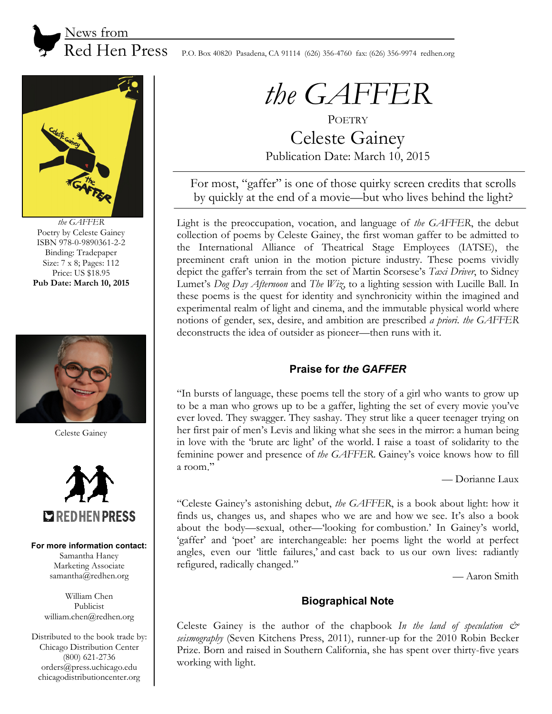

 $\text{Red Hen Press}$  P.O. Box 40820 Pasadena, CA 91114 (626) 356-4760 fax: (626) 356-9974 redhen.org



*the GAFFER* Poetry by Celeste Gainey ISBN 978-0-9890361-2-2 Binding: Tradepaper Size: 7 x 8; Pages: 112 Price: US \$18.95 **Pub Date: March 10, 2015** 



Celeste Gainey



#### **For more information contact:**

Samantha Haney Marketing Associate samantha@redhen.org

William Chen Publicist william.chen@redhen.org

Distributed to the book trade by: Chicago Distribution Center (800) 621-2736 orders@press.uchicago.edu chicagodistributioncenter.org

# *the GAFFER*

**POETRY** Celeste Gainey Publication Date: March 10, 2015

For most, "gaffer" is one of those quirky screen credits that scrolls by quickly at the end of a movie—but who lives behind the light?

Light is the preoccupation, vocation, and language of *the GAFFER*, the debut collection of poems by Celeste Gainey, the first woman gaffer to be admitted to the International Alliance of Theatrical Stage Employees (IATSE), the preeminent craft union in the motion picture industry. These poems vividly depict the gaffer's terrain from the set of Martin Scorsese's *Taxi Driver*, to Sidney Lumet's *Dog Day Afternoon* and *The Wiz*, to a lighting session with Lucille Ball. In these poems is the quest for identity and synchronicity within the imagined and experimental realm of light and cinema, and the immutable physical world where notions of gender, sex, desire, and ambition are prescribed *a priori*. *the GAFFER* deconstructs the idea of outsider as pioneer—then runs with it.

## **Praise for** *the GAFFER*

"In bursts of language, these poems tell the story of a girl who wants to grow up to be a man who grows up to be a gaffer, lighting the set of every movie you've ever loved. They swagger. They sashay. They strut like a queer teenager trying on her first pair of men's Levis and liking what she sees in the mirror: a human being in love with the 'brute arc light' of the world. I raise a toast of solidarity to the feminine power and presence of *the GAFFER*. Gainey's voice knows how to fill a room."

— Dorianne Laux

"Celeste Gainey's astonishing debut, *the GAFFER*, is a book about light: how it finds us, changes us, and shapes who we are and how we see. It's also a book about the body—sexual, other—'looking for combustion.' In Gainey's world, 'gaffer' and 'poet' are interchangeable: her poems light the world at perfect angles, even our 'little failures,' and cast back to us our own lives: radiantly refigured, radically changed."

— Aaron Smith

## **Biographical Note**

Celeste Gainey is the author of the chapbook *In the land of speculation & seismography* (Seven Kitchens Press, 2011), runner-up for the 2010 Robin Becker Prize. Born and raised in Southern California, she has spent over thirty-five years working with light.